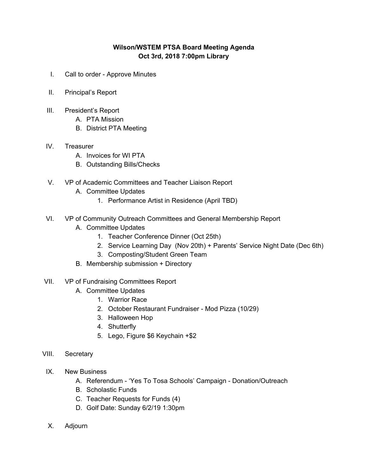## **Wilson/WSTEM PTSA Board Meeting Agenda Oct 3rd, 2018 7:00pm Library**

- I. Call to order Approve Minutes
- II. Principal's Report
- III. President's Report
	- A. PTA Mission
	- B. District PTA Meeting

## IV. Treasurer

- A. Invoices for WI PTA
- B. Outstanding Bills/Checks
- V. VP of Academic Committees and Teacher Liaison Report
	- A. Committee Updates
		- 1. Performance Artist in Residence (April TBD)
- VI. VP of Community Outreach Committees and General Membership Report
	- A. Committee Updates
		- 1. Teacher Conference Dinner (Oct 25th)
		- 2. Service Learning Day (Nov 20th) + Parents' Service Night Date (Dec 6th)
		- 3. Composting/Student Green Team
	- B. Membership submission + Directory
- VII. VP of Fundraising Committees Report
	- A. Committee Updates
		- 1. Warrior Race
		- 2. October Restaurant Fundraiser Mod Pizza (10/29)
		- 3. Halloween Hop
		- 4. Shutterfly
		- 5. Lego, Figure \$6 Keychain +\$2
- VIII. Secretary
	- IX. New Business
		- A. Referendum 'Yes To Tosa Schools' Campaign Donation/Outreach
		- B. Scholastic Funds
		- C. Teacher Requests for Funds (4)
		- D. Golf Date: Sunday 6/2/19 1:30pm
	- X. Adjourn